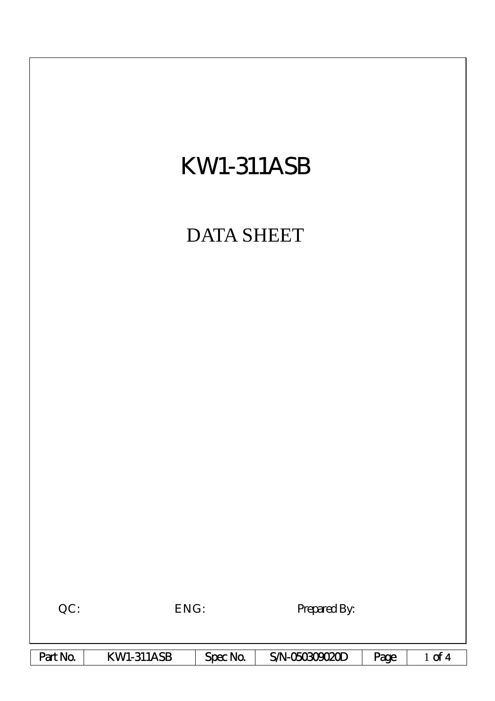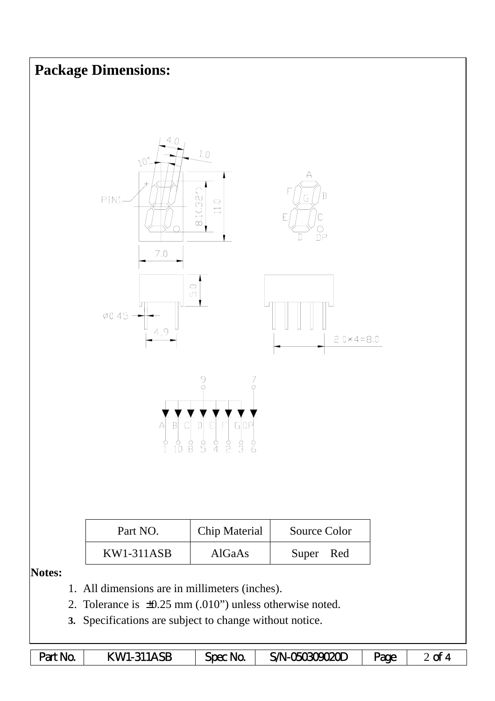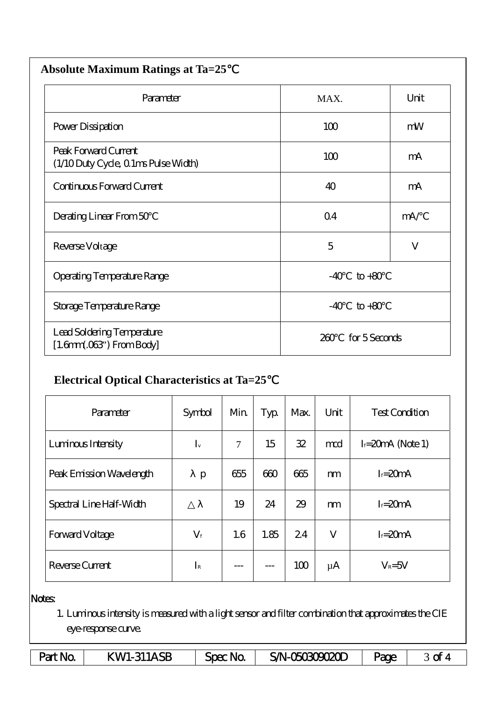| <b>Absolute Maximum Ratings at Ta=25</b>                           |                |               |  |  |  |  |  |
|--------------------------------------------------------------------|----------------|---------------|--|--|--|--|--|
| Parameter                                                          | MAX.           | Unit          |  |  |  |  |  |
| Power Dissipation                                                  | 100            | mW            |  |  |  |  |  |
| Peak Forward Current<br>(1/10 Duty Cycle, 0 1ms Pulse Width)       | 100            | mA            |  |  |  |  |  |
| Continuous Forward Current                                         | 40             | mA            |  |  |  |  |  |
| Derating Linear From 50                                            | Q <sub>4</sub> | mA/           |  |  |  |  |  |
| Reverse Voltage                                                    | 5              | V             |  |  |  |  |  |
| <b>Operating Temperature Range</b>                                 | $-40$          | $to +80$      |  |  |  |  |  |
| Storage Temperature Range                                          | $-40$          | $to +80$      |  |  |  |  |  |
| Lead Soldering Temperature<br>$[1.6mm.03$ <sup>"</sup> ) From Body | 200            | for 5 Seconds |  |  |  |  |  |

## **Electrical Optical Characteristics at Ta=25**℃

| Parameter                | Symbol      | Min    | Typ  | Max. | Unit    | <b>Test Condition</b> |  |
|--------------------------|-------------|--------|------|------|---------|-----------------------|--|
| Luninous Intensity       | $I_{v}$     | $\tau$ | 15   | 32   | mod     | $I = 20mA$ (Note 1)   |  |
| Peak Emission Wavelength | p           | 655    | 600  | 665  | m       | $I = 20mA$            |  |
| Spectral Line Half-Width |             | 19     | 24   | 29   | m       | $I = 20mA$            |  |
| Forward Voltage          | $V_{\rm f}$ | 1.6    | 1.85 | 24   | V       | $I = 20mA$            |  |
| Reverse Current          | $I_{R}$     |        |      | 100  | $\mu A$ | $V_R = 5V$            |  |

## Notes:

1. Luminous intensity is measured with a light sensor and filter combination that approximates the CIE eye-response curve.

| Part No. | KWI-311ASB | Spec No. | SAN-O <del>50309020D</del> | Page |  |
|----------|------------|----------|----------------------------|------|--|
|----------|------------|----------|----------------------------|------|--|